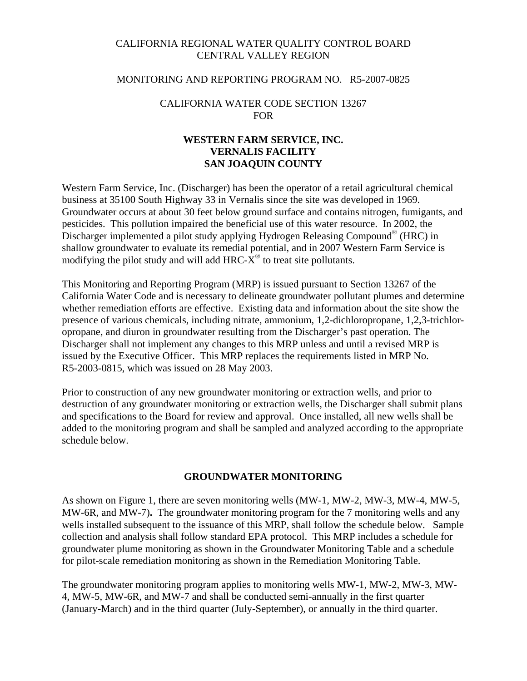# CALIFORNIA REGIONAL WATER QUALITY CONTROL BOARD CENTRAL VALLEY REGION

### MONITORING AND REPORTING PROGRAM NO. R5-2007-0825

## CALIFORNIA WATER CODE SECTION 13267 FOR

# **WESTERN FARM SERVICE, INC. VERNALIS FACILITY SAN JOAQUIN COUNTY**

Western Farm Service, Inc. (Discharger) has been the operator of a retail agricultural chemical business at 35100 South Highway 33 in Vernalis since the site was developed in 1969. Groundwater occurs at about 30 feet below ground surface and contains nitrogen, fumigants, and pesticides. This pollution impaired the beneficial use of this water resource. In 2002, the Discharger implemented a pilot study applying Hydrogen Releasing Compound® (HRC) in shallow groundwater to evaluate its remedial potential, and in 2007 Western Farm Service is modifying the pilot study and will add HRC- $X^{\circ}$  to treat site pollutants.

This Monitoring and Reporting Program (MRP) is issued pursuant to Section 13267 of the California Water Code and is necessary to delineate groundwater pollutant plumes and determine whether remediation efforts are effective. Existing data and information about the site show the presence of various chemicals, including nitrate, ammonium, 1,2-dichloropropane, 1,2,3-trichloropropane, and diuron in groundwater resulting from the Discharger's past operation. The Discharger shall not implement any changes to this MRP unless and until a revised MRP is issued by the Executive Officer. This MRP replaces the requirements listed in MRP No. R5-2003-0815, which was issued on 28 May 2003.

Prior to construction of any new groundwater monitoring or extraction wells, and prior to destruction of any groundwater monitoring or extraction wells, the Discharger shall submit plans and specifications to the Board for review and approval. Once installed, all new wells shall be added to the monitoring program and shall be sampled and analyzed according to the appropriate schedule below.

#### **GROUNDWATER MONITORING**

As shown on Figure 1, there are seven monitoring wells (MW-1, MW-2, MW-3, MW-4, MW-5, MW-6R, and MW-7)**.** The groundwater monitoring program for the 7 monitoring wells and any wells installed subsequent to the issuance of this MRP, shall follow the schedule below. Sample collection and analysis shall follow standard EPA protocol. This MRP includes a schedule for groundwater plume monitoring as shown in the Groundwater Monitoring Table and a schedule for pilot-scale remediation monitoring as shown in the Remediation Monitoring Table.

The groundwater monitoring program applies to monitoring wells MW-1, MW-2, MW-3, MW-4, MW-5, MW-6R, and MW-7 and shall be conducted semi-annually in the first quarter (January-March) and in the third quarter (July-September), or annually in the third quarter.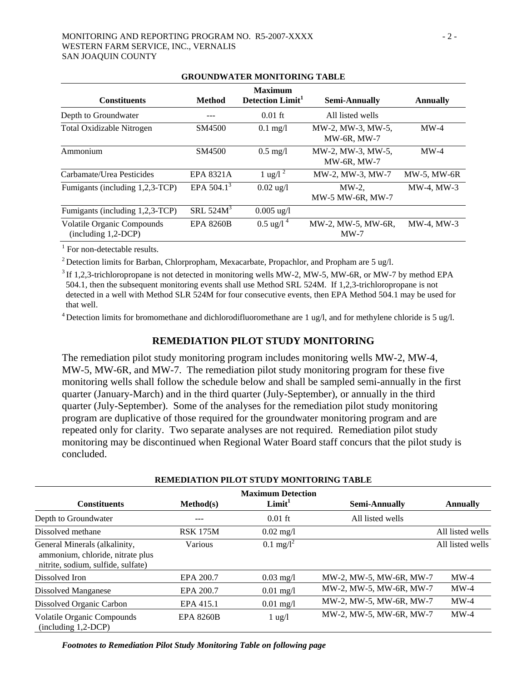| UNOUND MATER MONTFORMUT TADLE                              |                  |                                                |                                         |                 |  |  |  |
|------------------------------------------------------------|------------------|------------------------------------------------|-----------------------------------------|-----------------|--|--|--|
| <b>Constituents</b>                                        | <b>Method</b>    | <b>Maximum</b><br>Detection Limit <sup>1</sup> | <b>Semi-Annually</b>                    | <b>Annually</b> |  |  |  |
| Depth to Groundwater                                       |                  | $0.01$ ft                                      | All listed wells                        |                 |  |  |  |
| <b>Total Oxidizable Nitrogen</b>                           | SM4500           | $0.1$ mg/l                                     | MW-2, MW-3, MW-5,<br><b>MW-6R, MW-7</b> | $MW-4$          |  |  |  |
| Ammonium                                                   | SM4500           | $0.5 \text{ mg}/l$                             | MW-2, MW-3, MW-5,<br><b>MW-6R, MW-7</b> | $MW-4$          |  |  |  |
| Carbamate/Urea Pesticides                                  | <b>EPA 8321A</b> | 1 ug/l <sup>2</sup>                            | MW-2, MW-3, MW-7                        | MW-5, MW-6R     |  |  |  |
| Fumigants (including 1,2,3-TCP)                            | EPA $504.1^3$    | $0.02$ ug/l                                    | $MW-2$ ,<br>MW-5 MW-6R, MW-7            | MW-4. MW-3      |  |  |  |
| Fumigants (including 1,2,3-TCP)                            | SRL $524M3$      | $0.005 \text{ ug}/l$                           |                                         |                 |  |  |  |
| <b>Volatile Organic Compounds</b><br>$(including 1,2-DCP)$ | <b>EPA 8260B</b> | $0.5 \text{ ug}/14$                            | MW-2, MW-5, MW-6R,<br>$MW-7$            | MW-4. MW-3      |  |  |  |

# **GROUNDWATER MONITORING TABLE**

<sup>1</sup> For non-detectable results.

<sup>2</sup> Detection limits for Barban, Chlorpropham, Mexacarbate, Propachlor, and Propham are 5 ug/l.

 $3$  If 1,2,3-trichloropropane is not detected in monitoring wells MW-2, MW-5, MW-6R, or MW-7 by method EPA 504.1, then the subsequent monitoring events shall use Method SRL 524M. If 1,2,3-trichloropropane is not detected in a well with Method SLR 524M for four consecutive events, then EPA Method 504.1 may be used for that well.

 $4$  Detection limits for bromomethane and dichlorodifluoromethane are 1 ug/l, and for methylene chloride is 5 ug/l.

#### **REMEDIATION PILOT STUDY MONITORING**

The remediation pilot study monitoring program includes monitoring wells MW-2, MW-4, MW-5, MW-6R, and MW-7. The remediation pilot study monitoring program for these five monitoring wells shall follow the schedule below and shall be sampled semi-annually in the first quarter (January-March) and in the third quarter (July-September), or annually in the third quarter (July-September). Some of the analyses for the remediation pilot study monitoring program are duplicative of those required for the groundwater monitoring program and are repeated only for clarity. Two separate analyses are not required. Remediation pilot study monitoring may be discontinued when Regional Water Board staff concurs that the pilot study is concluded.

| <u>Kemediativa hevi bi udi mvali viking tadee</u>                                                       |                  |                                                |                         |                  |  |  |  |
|---------------------------------------------------------------------------------------------------------|------------------|------------------------------------------------|-------------------------|------------------|--|--|--|
| <b>Constituents</b>                                                                                     | Method(s)        | <b>Maximum Detection</b><br>Limit <sup>1</sup> | Semi-Annually           | <b>Annually</b>  |  |  |  |
| Depth to Groundwater                                                                                    |                  | $0.01$ ft                                      | All listed wells        |                  |  |  |  |
| Dissolved methane                                                                                       | <b>RSK 175M</b>  | $0.02 \text{ mg}/1$                            |                         | All listed wells |  |  |  |
| General Minerals (alkalinity,<br>ammonium, chloride, nitrate plus<br>nitrite, sodium, sulfide, sulfate) | Various          | $0.1 \text{ mg}/l^2$                           |                         | All listed wells |  |  |  |
| Dissolved Iron                                                                                          | EPA 200.7        | $0.03 \text{ mg}/1$                            | MW-2, MW-5, MW-6R, MW-7 | $MW-4$           |  |  |  |
| Dissolved Manganese                                                                                     | EPA 200.7        | $0.01$ mg/l                                    | MW-2, MW-5, MW-6R, MW-7 | $MW-4$           |  |  |  |
| Dissolved Organic Carbon                                                                                | EPA 415.1        | $0.01 \text{ mg}/l$                            | MW-2, MW-5, MW-6R, MW-7 | $MW-4$           |  |  |  |
| Volatile Organic Compounds<br>$(including 1,2-DCP)$                                                     | <b>EPA 8260B</b> | $1 \text{ ug}/1$                               | MW-2, MW-5, MW-6R, MW-7 | $MW-4$           |  |  |  |

## **REMEDIATION PILOT STUDY MONITORING TABLE**

*Footnotes to Remediation Pilot Study Monitoring Table on following page*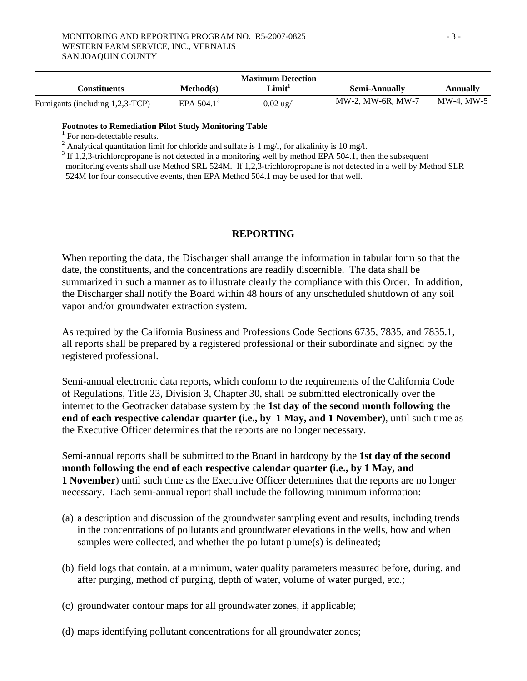| <b>Maximum Detection</b>        |                          |                     |                      |                 |  |  |
|---------------------------------|--------------------------|---------------------|----------------------|-----------------|--|--|
| Constituents                    | Method(s)                | Limit <sup>1</sup>  | <b>Semi-Annually</b> | <b>Annually</b> |  |  |
| Fumigants (including 1,2,3-TCP) | EPA $504.1$ <sup>3</sup> | $0.02 \text{ ug}/l$ | MW-2, MW-6R, MW-7    | MW-4. MW-5      |  |  |

#### **Footnotes to Remediation Pilot Study Monitoring Table**

 $<sup>1</sup>$  For non-detectable results.</sup>

<sup>2</sup> Analytical quantitation limit for chloride and sulfate is 1 mg/l, for alkalinity is 10 mg/l.

 $3$  If 1,2,3-trichloropropane is not detected in a monitoring well by method EPA 504.1, then the subsequent

monitoring events shall use Method SRL 524M. If 1,2,3-trichloropropane is not detected in a well by Method SLR 524M for four consecutive events, then EPA Method 504.1 may be used for that well.

## **REPORTING**

When reporting the data, the Discharger shall arrange the information in tabular form so that the date, the constituents, and the concentrations are readily discernible. The data shall be summarized in such a manner as to illustrate clearly the compliance with this Order. In addition, the Discharger shall notify the Board within 48 hours of any unscheduled shutdown of any soil vapor and/or groundwater extraction system.

As required by the California Business and Professions Code Sections 6735, 7835, and 7835.1, all reports shall be prepared by a registered professional or their subordinate and signed by the registered professional.

Semi-annual electronic data reports, which conform to the requirements of the California Code of Regulations, Title 23, Division 3, Chapter 30, shall be submitted electronically over the internet to the Geotracker database system by the **1st day of the second month following the end of each respective calendar quarter (i.e., by 1 May, and 1 November**), until such time as the Executive Officer determines that the reports are no longer necessary.

Semi-annual reports shall be submitted to the Board in hardcopy by the **1st day of the second month following the end of each respective calendar quarter (i.e., by 1 May, and 1 November**) until such time as the Executive Officer determines that the reports are no longer necessary. Each semi-annual report shall include the following minimum information:

- (a) a description and discussion of the groundwater sampling event and results, including trends in the concentrations of pollutants and groundwater elevations in the wells, how and when samples were collected, and whether the pollutant plume(s) is delineated;
- (b) field logs that contain, at a minimum, water quality parameters measured before, during, and after purging, method of purging, depth of water, volume of water purged, etc.;
- (c) groundwater contour maps for all groundwater zones, if applicable;
- (d) maps identifying pollutant concentrations for all groundwater zones;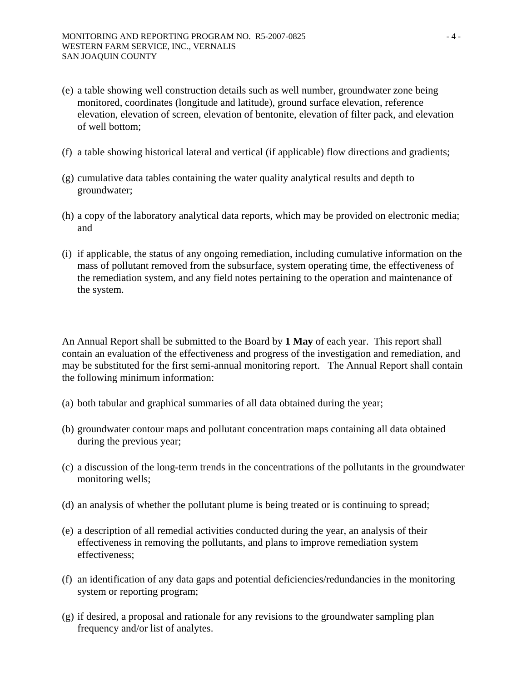- (e) a table showing well construction details such as well number, groundwater zone being monitored, coordinates (longitude and latitude), ground surface elevation, reference elevation, elevation of screen, elevation of bentonite, elevation of filter pack, and elevation of well bottom;
- (f) a table showing historical lateral and vertical (if applicable) flow directions and gradients;
- (g) cumulative data tables containing the water quality analytical results and depth to groundwater;
- (h) a copy of the laboratory analytical data reports, which may be provided on electronic media; and
- (i) if applicable, the status of any ongoing remediation, including cumulative information on the mass of pollutant removed from the subsurface, system operating time, the effectiveness of the remediation system, and any field notes pertaining to the operation and maintenance of the system.

An Annual Report shall be submitted to the Board by **1 May** of each year. This report shall contain an evaluation of the effectiveness and progress of the investigation and remediation, and may be substituted for the first semi-annual monitoring report. The Annual Report shall contain the following minimum information:

- (a) both tabular and graphical summaries of all data obtained during the year;
- (b) groundwater contour maps and pollutant concentration maps containing all data obtained during the previous year;
- (c) a discussion of the long-term trends in the concentrations of the pollutants in the groundwater monitoring wells;
- (d) an analysis of whether the pollutant plume is being treated or is continuing to spread;
- (e) a description of all remedial activities conducted during the year, an analysis of their effectiveness in removing the pollutants, and plans to improve remediation system effectiveness;
- (f) an identification of any data gaps and potential deficiencies/redundancies in the monitoring system or reporting program;
- (g) if desired, a proposal and rationale for any revisions to the groundwater sampling plan frequency and/or list of analytes.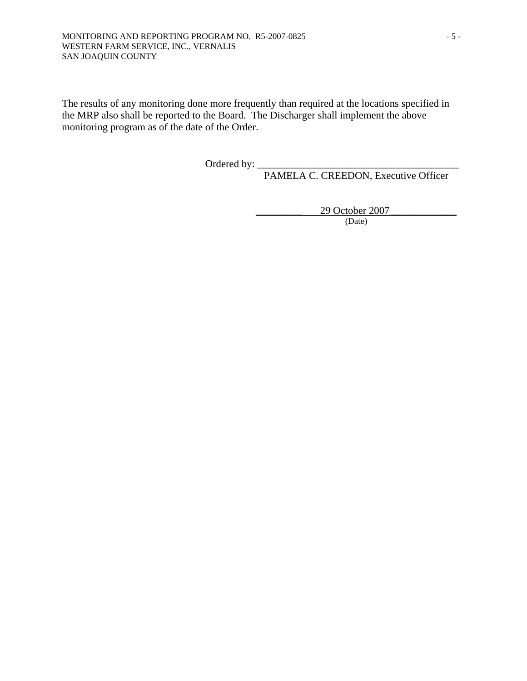The results of any monitoring done more frequently than required at the locations specified in the MRP also shall be reported to the Board. The Discharger shall implement the above monitoring program as of the date of the Order.

Ordered by: \_\_\_\_\_\_\_\_\_\_\_\_\_\_\_\_\_\_\_\_\_\_\_\_\_\_\_\_\_\_\_\_\_\_\_\_\_\_\_

PAMELA C. CREEDON, Executive Officer

\_\_\_\_\_\_\_\_\_ 29 October 2007\_\_\_\_\_\_\_\_\_\_\_\_\_

(Date)